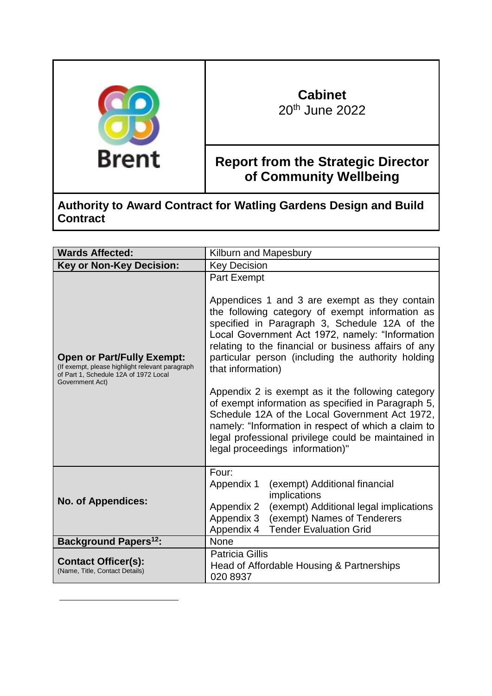

-

# **Cabinet** 20th June 2022

**Report from the Strategic Director of Community Wellbeing** 

**Authority to Award Contract for Watling Gardens Design and Build Contract** 

| <b>Wards Affected:</b>                                                                                                                           | Kilburn and Mapesbury                                                                                                                                                                                                                                                                                                                                                                                                                                                                                                                                                                                                                                                       |
|--------------------------------------------------------------------------------------------------------------------------------------------------|-----------------------------------------------------------------------------------------------------------------------------------------------------------------------------------------------------------------------------------------------------------------------------------------------------------------------------------------------------------------------------------------------------------------------------------------------------------------------------------------------------------------------------------------------------------------------------------------------------------------------------------------------------------------------------|
| <b>Key or Non-Key Decision:</b>                                                                                                                  | <b>Key Decision</b>                                                                                                                                                                                                                                                                                                                                                                                                                                                                                                                                                                                                                                                         |
| <b>Open or Part/Fully Exempt:</b><br>(If exempt, please highlight relevant paragraph<br>of Part 1, Schedule 12A of 1972 Local<br>Government Act) | <b>Part Exempt</b><br>Appendices 1 and 3 are exempt as they contain<br>the following category of exempt information as<br>specified in Paragraph 3, Schedule 12A of the<br>Local Government Act 1972, namely: "Information<br>relating to the financial or business affairs of any<br>particular person (including the authority holding<br>that information)<br>Appendix 2 is exempt as it the following category<br>of exempt information as specified in Paragraph 5,<br>Schedule 12A of the Local Government Act 1972,<br>namely: "Information in respect of which a claim to<br>legal professional privilege could be maintained in<br>legal proceedings information)" |
| <b>No. of Appendices:</b>                                                                                                                        | Four:<br>Appendix 1<br>(exempt) Additional financial<br>implications<br>(exempt) Additional legal implications<br>Appendix 2<br>(exempt) Names of Tenderers<br>Appendix 3<br><b>Tender Evaluation Grid</b><br>Appendix 4                                                                                                                                                                                                                                                                                                                                                                                                                                                    |
| <b>Background Papers<sup>12</sup>:</b>                                                                                                           | <b>None</b>                                                                                                                                                                                                                                                                                                                                                                                                                                                                                                                                                                                                                                                                 |
| <b>Contact Officer(s):</b><br>(Name, Title, Contact Details)                                                                                     | <b>Patricia Gillis</b><br>Head of Affordable Housing & Partnerships<br>020 8937                                                                                                                                                                                                                                                                                                                                                                                                                                                                                                                                                                                             |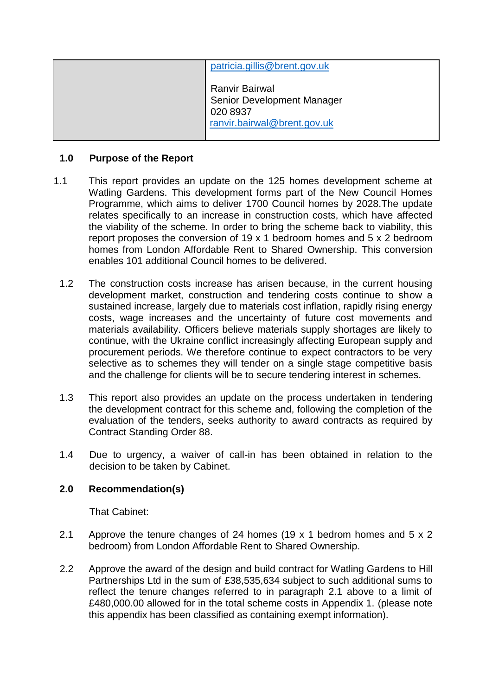| patricia.gillis@brent.gov.uk                                                                   |
|------------------------------------------------------------------------------------------------|
| <b>Ranvir Bairwal</b><br>Senior Development Manager<br>020 8937<br>ranvir.bairwal@brent.gov.uk |

## **1.0 Purpose of the Report**

- 1.1 This report provides an update on the 125 homes development scheme at Watling Gardens. This development forms part of the New Council Homes Programme, which aims to deliver 1700 Council homes by 2028.The update relates specifically to an increase in construction costs, which have affected the viability of the scheme. In order to bring the scheme back to viability, this report proposes the conversion of 19 x 1 bedroom homes and 5 x 2 bedroom homes from London Affordable Rent to Shared Ownership. This conversion enables 101 additional Council homes to be delivered.
	- 1.2 The construction costs increase has arisen because, in the current housing development market, construction and tendering costs continue to show a sustained increase, largely due to materials cost inflation, rapidly rising energy costs, wage increases and the uncertainty of future cost movements and materials availability. Officers believe materials supply shortages are likely to continue, with the Ukraine conflict increasingly affecting European supply and procurement periods. We therefore continue to expect contractors to be very selective as to schemes they will tender on a single stage competitive basis and the challenge for clients will be to secure tendering interest in schemes.
	- 1.3 This report also provides an update on the process undertaken in tendering the development contract for this scheme and, following the completion of the evaluation of the tenders, seeks authority to award contracts as required by Contract Standing Order 88.
	- 1.4 Due to urgency, a waiver of call-in has been obtained in relation to the decision to be taken by Cabinet.

# **2.0 Recommendation(s)**

That Cabinet:

- 2.1 Approve the tenure changes of 24 homes (19  $\times$  1 bedrom homes and 5  $\times$  2 bedroom) from London Affordable Rent to Shared Ownership.
- 2.2 Approve the award of the design and build contract for Watling Gardens to Hill Partnerships Ltd in the sum of £38,535,634 subject to such additional sums to reflect the tenure changes referred to in paragraph 2.1 above to a limit of £480,000.00 allowed for in the total scheme costs in Appendix 1. (please note this appendix has been classified as containing exempt information).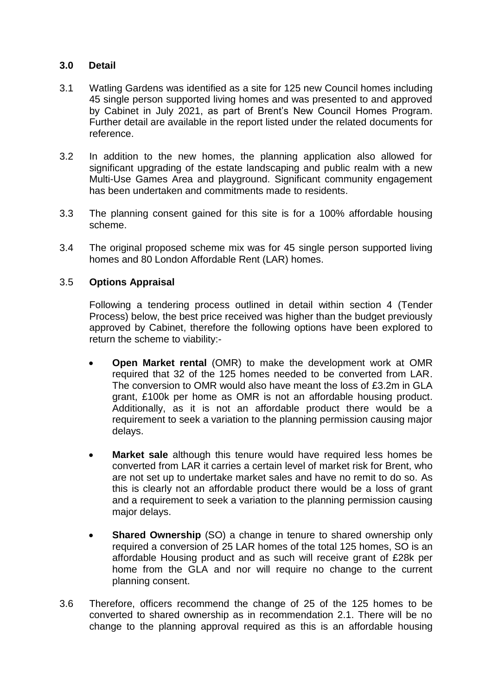## **3.0 Detail**

- 3.1 Watling Gardens was identified as a site for 125 new Council homes including 45 single person supported living homes and was presented to and approved by Cabinet in July 2021, as part of Brent's New Council Homes Program. Further detail are available in the report listed under the related documents for reference.
- 3.2 In addition to the new homes, the planning application also allowed for significant upgrading of the estate landscaping and public realm with a new Multi-Use Games Area and playground. Significant community engagement has been undertaken and commitments made to residents.
- 3.3 The planning consent gained for this site is for a 100% affordable housing scheme.
- 3.4 The original proposed scheme mix was for 45 single person supported living homes and 80 London Affordable Rent (LAR) homes.

## 3.5 **Options Appraisal**

Following a tendering process outlined in detail within section 4 (Tender Process) below, the best price received was higher than the budget previously approved by Cabinet, therefore the following options have been explored to return the scheme to viability:-

- **Open Market rental** (OMR) to make the development work at OMR required that 32 of the 125 homes needed to be converted from LAR. The conversion to OMR would also have meant the loss of £3.2m in GLA grant, £100k per home as OMR is not an affordable housing product. Additionally, as it is not an affordable product there would be a requirement to seek a variation to the planning permission causing major delays.
- **Market sale** although this tenure would have required less homes be converted from LAR it carries a certain level of market risk for Brent, who are not set up to undertake market sales and have no remit to do so. As this is clearly not an affordable product there would be a loss of grant and a requirement to seek a variation to the planning permission causing major delays.
- **Shared Ownership** (SO) a change in tenure to shared ownership only required a conversion of 25 LAR homes of the total 125 homes, SO is an affordable Housing product and as such will receive grant of £28k per home from the GLA and nor will require no change to the current planning consent.
- 3.6 Therefore, officers recommend the change of 25 of the 125 homes to be converted to shared ownership as in recommendation 2.1. There will be no change to the planning approval required as this is an affordable housing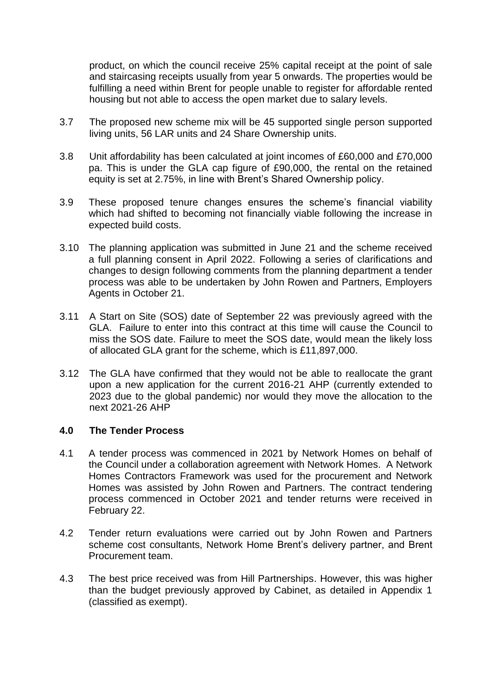product, on which the council receive 25% capital receipt at the point of sale and staircasing receipts usually from year 5 onwards. The properties would be fulfilling a need within Brent for people unable to register for affordable rented housing but not able to access the open market due to salary levels.

- 3.7 The proposed new scheme mix will be 45 supported single person supported living units, 56 LAR units and 24 Share Ownership units.
- 3.8 Unit affordability has been calculated at joint incomes of £60,000 and £70,000 pa. This is under the GLA cap figure of £90,000, the rental on the retained equity is set at 2.75%, in line with Brent's Shared Ownership policy.
- 3.9 These proposed tenure changes ensures the scheme's financial viability which had shifted to becoming not financially viable following the increase in expected build costs.
- 3.10 The planning application was submitted in June 21 and the scheme received a full planning consent in April 2022. Following a series of clarifications and changes to design following comments from the planning department a tender process was able to be undertaken by John Rowen and Partners, Employers Agents in October 21.
- 3.11 A Start on Site (SOS) date of September 22 was previously agreed with the GLA. Failure to enter into this contract at this time will cause the Council to miss the SOS date. Failure to meet the SOS date, would mean the likely loss of allocated GLA grant for the scheme, which is £11,897,000.
- 3.12 The GLA have confirmed that they would not be able to reallocate the grant upon a new application for the current 2016-21 AHP (currently extended to 2023 due to the global pandemic) nor would they move the allocation to the next 2021-26 AHP

## **4.0 The Tender Process**

- 4.1 A tender process was commenced in 2021 by Network Homes on behalf of the Council under a collaboration agreement with Network Homes. A Network Homes Contractors Framework was used for the procurement and Network Homes was assisted by John Rowen and Partners. The contract tendering process commenced in October 2021 and tender returns were received in February 22.
- 4.2 Tender return evaluations were carried out by John Rowen and Partners scheme cost consultants, Network Home Brent's delivery partner, and Brent Procurement team.
- 4.3 The best price received was from Hill Partnerships. However, this was higher than the budget previously approved by Cabinet, as detailed in Appendix 1 (classified as exempt).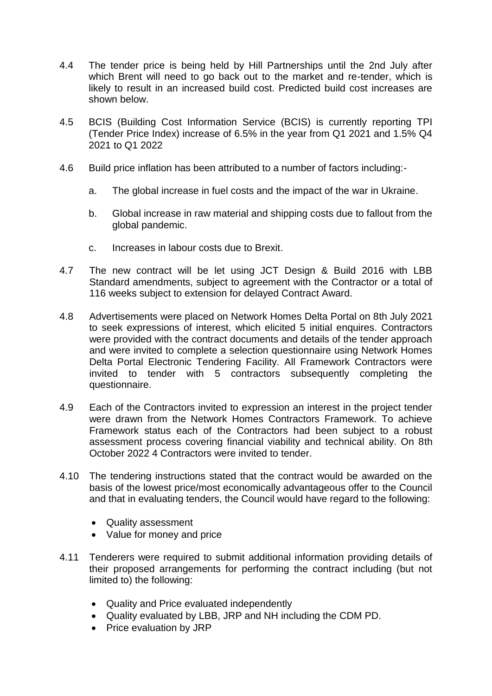- 4.4 The tender price is being held by Hill Partnerships until the 2nd July after which Brent will need to go back out to the market and re-tender, which is likely to result in an increased build cost. Predicted build cost increases are shown below.
- 4.5 BCIS (Building Cost Information Service (BCIS) is currently reporting TPI (Tender Price Index) increase of 6.5% in the year from Q1 2021 and 1.5% Q4 2021 to Q1 2022
- 4.6 Build price inflation has been attributed to a number of factors including:
	- a. The global increase in fuel costs and the impact of the war in Ukraine.
	- b. Global increase in raw material and shipping costs due to fallout from the global pandemic.
	- c. Increases in labour costs due to Brexit.
- 4.7 The new contract will be let using JCT Design & Build 2016 with LBB Standard amendments, subject to agreement with the Contractor or a total of 116 weeks subject to extension for delayed Contract Award.
- 4.8 Advertisements were placed on Network Homes Delta Portal on 8th July 2021 to seek expressions of interest, which elicited 5 initial enquires. Contractors were provided with the contract documents and details of the tender approach and were invited to complete a selection questionnaire using Network Homes Delta Portal Electronic Tendering Facility. All Framework Contractors were invited to tender with 5 contractors subsequently completing the questionnaire.
- 4.9 Each of the Contractors invited to expression an interest in the project tender were drawn from the Network Homes Contractors Framework. To achieve Framework status each of the Contractors had been subject to a robust assessment process covering financial viability and technical ability. On 8th October 2022 4 Contractors were invited to tender.
- 4.10 The tendering instructions stated that the contract would be awarded on the basis of the lowest price/most economically advantageous offer to the Council and that in evaluating tenders, the Council would have regard to the following:
	- Quality assessment
	- Value for money and price
- 4.11 Tenderers were required to submit additional information providing details of their proposed arrangements for performing the contract including (but not limited to) the following:
	- Quality and Price evaluated independently
	- Quality evaluated by LBB, JRP and NH including the CDM PD.
	- Price evaluation by JRP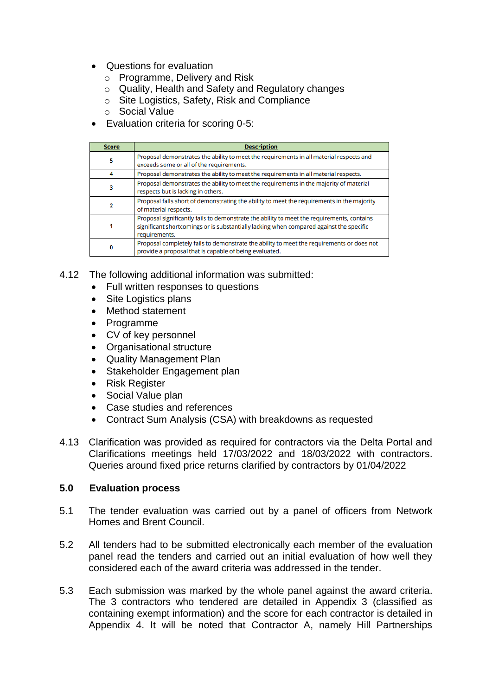- Questions for evaluation
	- o Programme, Delivery and Risk
	- o Quality, Health and Safety and Regulatory changes
	- o Site Logistics, Safety, Risk and Compliance
	- o Social Value
- Evaluation criteria for scoring 0-5:

| <b>Score</b> | <b>Description</b>                                                                                                                                                                                     |
|--------------|--------------------------------------------------------------------------------------------------------------------------------------------------------------------------------------------------------|
| 5            | Proposal demonstrates the ability to meet the requirements in all material respects and<br>exceeds some or all of the requirements.                                                                    |
|              | Proposal demonstrates the ability to meet the requirements in all material respects.                                                                                                                   |
|              | Proposal demonstrates the ability to meet the requirements in the majority of material<br>respects but is lacking in others.                                                                           |
|              | Proposal falls short of demonstrating the ability to meet the requirements in the majority<br>of material respects.                                                                                    |
|              | Proposal significantly fails to demonstrate the ability to meet the requirements, contains<br>significant shortcomings or is substantially lacking when compared against the specific<br>requirements. |
|              | Proposal completely fails to demonstrate the ability to meet the requirements or does not<br>provide a proposal that is capable of being evaluated.                                                    |

- 4.12 The following additional information was submitted:
	- Full written responses to questions
	- Site Logistics plans
	- Method statement
	- Programme
	- CV of key personnel
	- Organisational structure
	- Quality Management Plan
	- Stakeholder Engagement plan
	- Risk Register
	- Social Value plan
	- Case studies and references
	- Contract Sum Analysis (CSA) with breakdowns as requested
- 4.13 Clarification was provided as required for contractors via the Delta Portal and Clarifications meetings held 17/03/2022 and 18/03/2022 with contractors. Queries around fixed price returns clarified by contractors by 01/04/2022

#### **5.0 Evaluation process**

- 5.1 The tender evaluation was carried out by a panel of officers from Network Homes and Brent Council.
- 5.2 All tenders had to be submitted electronically each member of the evaluation panel read the tenders and carried out an initial evaluation of how well they considered each of the award criteria was addressed in the tender.
- 5.3 Each submission was marked by the whole panel against the award criteria. The 3 contractors who tendered are detailed in Appendix 3 (classified as containing exempt information) and the score for each contractor is detailed in Appendix 4. It will be noted that Contractor A, namely Hill Partnerships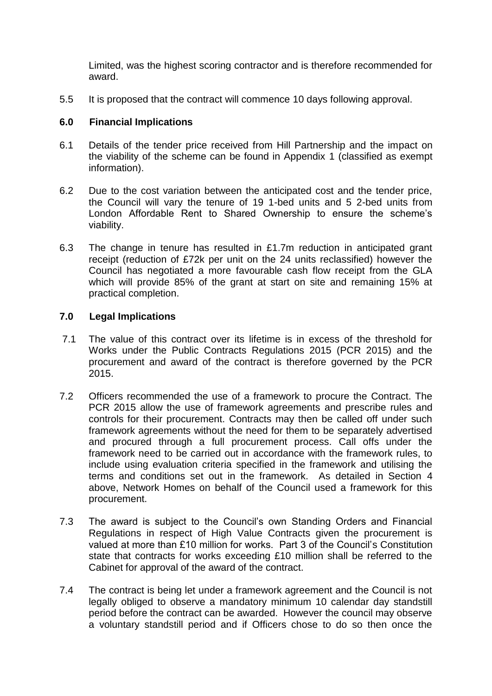Limited, was the highest scoring contractor and is therefore recommended for award.

5.5 It is proposed that the contract will commence 10 days following approval.

## **6.0 Financial Implications**

- 6.1 Details of the tender price received from Hill Partnership and the impact on the viability of the scheme can be found in Appendix 1 (classified as exempt information).
- 6.2 Due to the cost variation between the anticipated cost and the tender price, the Council will vary the tenure of 19 1-bed units and 5 2-bed units from London Affordable Rent to Shared Ownership to ensure the scheme's viability.
- 6.3 The change in tenure has resulted in £1.7m reduction in anticipated grant receipt (reduction of £72k per unit on the 24 units reclassified) however the Council has negotiated a more favourable cash flow receipt from the GLA which will provide 85% of the grant at start on site and remaining 15% at practical completion.

## **7.0 Legal Implications**

- 7.1 The value of this contract over its lifetime is in excess of the threshold for Works under the Public Contracts Regulations 2015 (PCR 2015) and the procurement and award of the contract is therefore governed by the PCR 2015.
- 7.2 Officers recommended the use of a framework to procure the Contract. The PCR 2015 allow the use of framework agreements and prescribe rules and controls for their procurement. Contracts may then be called off under such framework agreements without the need for them to be separately advertised and procured through a full procurement process. Call offs under the framework need to be carried out in accordance with the framework rules, to include using evaluation criteria specified in the framework and utilising the terms and conditions set out in the framework. As detailed in Section 4 above, Network Homes on behalf of the Council used a framework for this procurement.
- 7.3 The award is subject to the Council's own Standing Orders and Financial Regulations in respect of High Value Contracts given the procurement is valued at more than £10 million for works. Part 3 of the Council's Constitution state that contracts for works exceeding £10 million shall be referred to the Cabinet for approval of the award of the contract.
- 7.4 The contract is being let under a framework agreement and the Council is not legally obliged to observe a mandatory minimum 10 calendar day standstill period before the contract can be awarded. However the council may observe a voluntary standstill period and if Officers chose to do so then once the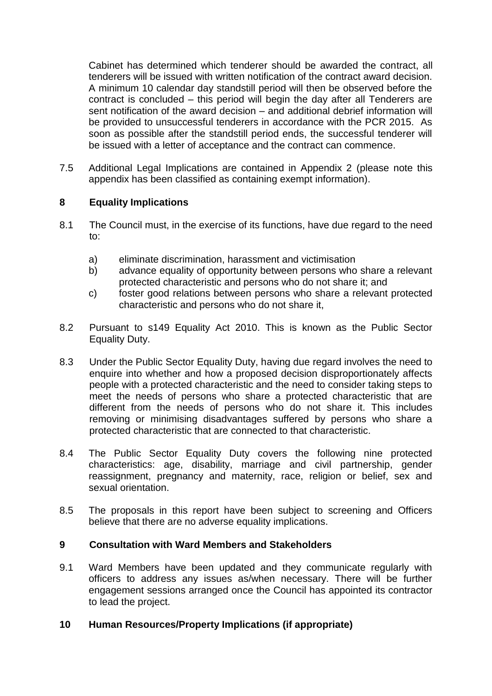Cabinet has determined which tenderer should be awarded the contract, all tenderers will be issued with written notification of the contract award decision. A minimum 10 calendar day standstill period will then be observed before the contract is concluded – this period will begin the day after all Tenderers are sent notification of the award decision – and additional debrief information will be provided to unsuccessful tenderers in accordance with the PCR 2015. As soon as possible after the standstill period ends, the successful tenderer will be issued with a letter of acceptance and the contract can commence.

7.5 Additional Legal Implications are contained in Appendix 2 (please note this appendix has been classified as containing exempt information).

# **8 Equality Implications**

- 8.1 The Council must, in the exercise of its functions, have due regard to the need to:
	- a) eliminate discrimination, harassment and victimisation
	- b) advance equality of opportunity between persons who share a relevant protected characteristic and persons who do not share it; and
	- c) foster good relations between persons who share a relevant protected characteristic and persons who do not share it,
- 8.2 Pursuant to s149 Equality Act 2010. This is known as the Public Sector Equality Duty.
- 8.3 Under the Public Sector Equality Duty, having due regard involves the need to enquire into whether and how a proposed decision disproportionately affects people with a protected characteristic and the need to consider taking steps to meet the needs of persons who share a protected characteristic that are different from the needs of persons who do not share it. This includes removing or minimising disadvantages suffered by persons who share a protected characteristic that are connected to that characteristic.
- 8.4 The Public Sector Equality Duty covers the following nine protected characteristics: age, disability, marriage and civil partnership, gender reassignment, pregnancy and maternity, race, religion or belief, sex and sexual orientation.
- 8.5 The proposals in this report have been subject to screening and Officers believe that there are no adverse equality implications.

## **9 Consultation with Ward Members and Stakeholders**

9.1 Ward Members have been updated and they communicate regularly with officers to address any issues as/when necessary. There will be further engagement sessions arranged once the Council has appointed its contractor to lead the project.

## **10 Human Resources/Property Implications (if appropriate)**